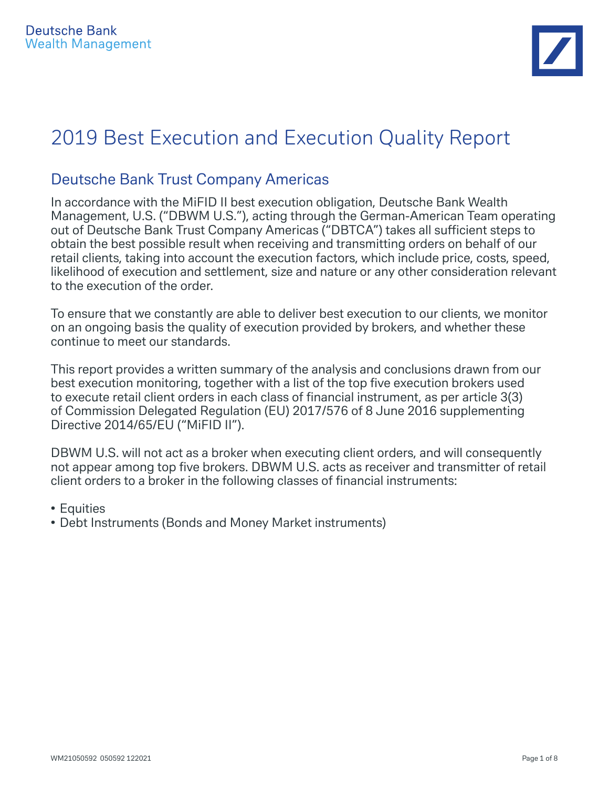

# 2019 Best Execution and Execution Quality Report

## Deutsche Bank Trust Company Americas

In accordance with the MiFID II best execution obligation, Deutsche Bank Wealth Management, U.S. ("DBWM U.S."), acting through the German-American Team operating out of Deutsche Bank Trust Company Americas ("DBTCA") takes all sufficient steps to obtain the best possible result when receiving and transmitting orders on behalf of our retail clients, taking into account the execution factors, which include price, costs, speed, likelihood of execution and settlement, size and nature or any other consideration relevant to the execution of the order.

To ensure that we constantly are able to deliver best execution to our clients, we monitor on an ongoing basis the quality of execution provided by brokers, and whether these continue to meet our standards.

This report provides a written summary of the analysis and conclusions drawn from our best execution monitoring, together with a list of the top five execution brokers used to execute retail client orders in each class of financial instrument, as per article 3(3) of Commission Delegated Regulation (EU) 2017/576 of 8 June 2016 supplementing Directive 2014/65/EU ("MiFID II").

DBWM U.S. will not act as a broker when executing client orders, and will consequently not appear among top five brokers. DBWM U.S. acts as receiver and transmitter of retail client orders to a broker in the following classes of financial instruments:

- Equities
- Debt Instruments (Bonds and Money Market instruments)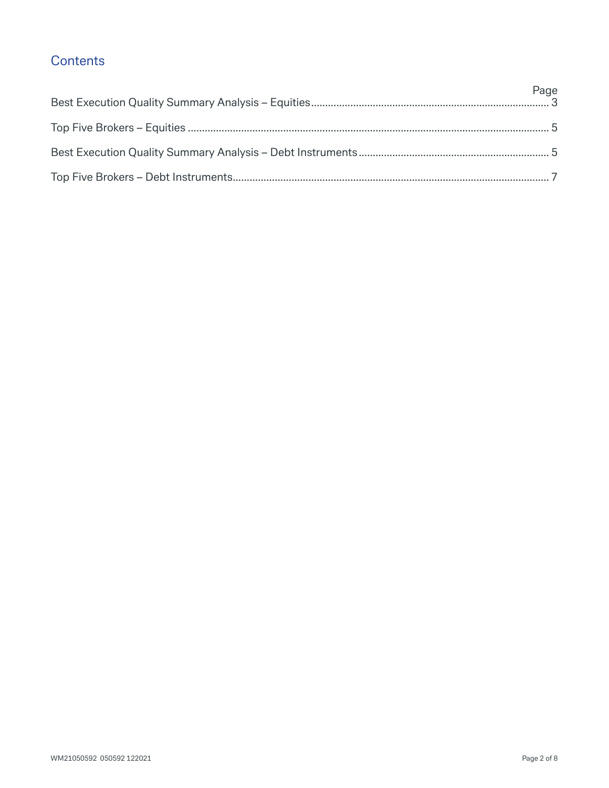## **Contents**

| Page |
|------|
|      |
|      |
|      |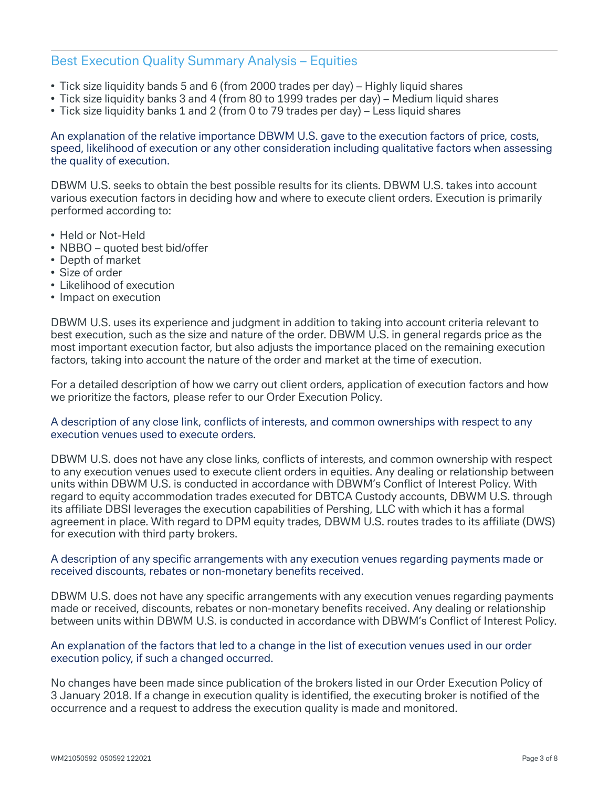## Best Execution Quality Summary Analysis – Equities

- Tick size liquidity bands 5 and 6 (from 2000 trades per day) Highly liquid shares
- Tick size liquidity banks 3 and 4 (from 80 to 1999 trades per day) Medium liquid shares
- Tick size liquidity banks 1 and 2 (from 0 to 79 trades per day) Less liquid shares

An explanation of the relative importance DBWM U.S. gave to the execution factors of price, costs, speed, likelihood of execution or any other consideration including qualitative factors when assessing the quality of execution.

DBWM U.S. seeks to obtain the best possible results for its clients. DBWM U.S. takes into account various execution factors in deciding how and where to execute client orders. Execution is primarily performed according to:

- Held or Not-Held
- NBBO quoted best bid/offer
- Depth of market
- Size of order
- Likelihood of execution
- Impact on execution

DBWM U.S. uses its experience and judgment in addition to taking into account criteria relevant to best execution, such as the size and nature of the order. DBWM U.S. in general regards price as the most important execution factor, but also adjusts the importance placed on the remaining execution factors, taking into account the nature of the order and market at the time of execution.

For a detailed description of how we carry out client orders, application of execution factors and how we prioritize the factors, please refer to our Order Execution Policy.

#### A description of any close link, conflicts of interests, and common ownerships with respect to any execution venues used to execute orders.

DBWM U.S. does not have any close links, conflicts of interests, and common ownership with respect to any execution venues used to execute client orders in equities. Any dealing or relationship between units within DBWM U.S. is conducted in accordance with DBWM's Conflict of Interest Policy. With regard to equity accommodation trades executed for DBTCA Custody accounts, DBWM U.S. through its affiliate DBSI leverages the execution capabilities of Pershing, LLC with which it has a formal agreement in place. With regard to DPM equity trades, DBWM U.S. routes trades to its affiliate (DWS) for execution with third party brokers.

#### A description of any specific arrangements with any execution venues regarding payments made or received discounts, rebates or non-monetary benefits received.

DBWM U.S. does not have any specific arrangements with any execution venues regarding payments made or received, discounts, rebates or non-monetary benefits received. Any dealing or relationship between units within DBWM U.S. is conducted in accordance with DBWM's Conflict of Interest Policy.

#### An explanation of the factors that led to a change in the list of execution venues used in our order execution policy, if such a changed occurred.

No changes have been made since publication of the brokers listed in our Order Execution Policy of 3 January 2018. If a change in execution quality is identified, the executing broker is notified of the occurrence and a request to address the execution quality is made and monitored.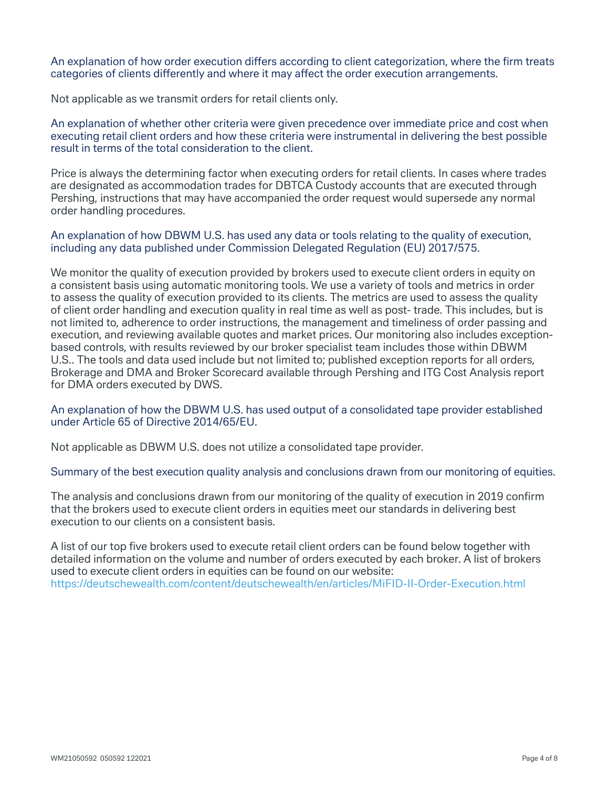An explanation of how order execution differs according to client categorization, where the firm treats categories of clients differently and where it may affect the order execution arrangements.

Not applicable as we transmit orders for retail clients only.

An explanation of whether other criteria were given precedence over immediate price and cost when executing retail client orders and how these criteria were instrumental in delivering the best possible result in terms of the total consideration to the client.

Price is always the determining factor when executing orders for retail clients. In cases where trades are designated as accommodation trades for DBTCA Custody accounts that are executed through Pershing, instructions that may have accompanied the order request would supersede any normal order handling procedures.

An explanation of how DBWM U.S. has used any data or tools relating to the quality of execution, including any data published under Commission Delegated Regulation (EU) 2017/575.

We monitor the quality of execution provided by brokers used to execute client orders in equity on a consistent basis using automatic monitoring tools. We use a variety of tools and metrics in order to assess the quality of execution provided to its clients. The metrics are used to assess the quality of client order handling and execution quality in real time as well as post- trade. This includes, but is not limited to, adherence to order instructions, the management and timeliness of order passing and execution, and reviewing available quotes and market prices. Our monitoring also includes exceptionbased controls, with results reviewed by our broker specialist team includes those within DBWM U.S.. The tools and data used include but not limited to; published exception reports for all orders, Brokerage and DMA and Broker Scorecard available through Pershing and ITG Cost Analysis report for DMA orders executed by DWS.

#### An explanation of how the DBWM U.S. has used output of a consolidated tape provider established under Article 65 of Directive 2014/65/EU.

Not applicable as DBWM U.S. does not utilize a consolidated tape provider.

#### Summary of the best execution quality analysis and conclusions drawn from our monitoring of equities.

The analysis and conclusions drawn from our monitoring of the quality of execution in 2019 confirm that the brokers used to execute client orders in equities meet our standards in delivering best execution to our clients on a consistent basis.

A list of our top five brokers used to execute retail client orders can be found below together with detailed information on the volume and number of orders executed by each broker. A list of brokers used to execute client orders in equities can be found on our website: https://deutschewealth.com/content/deutschewealth/en/articles/MiFID-II-Order-Execution.html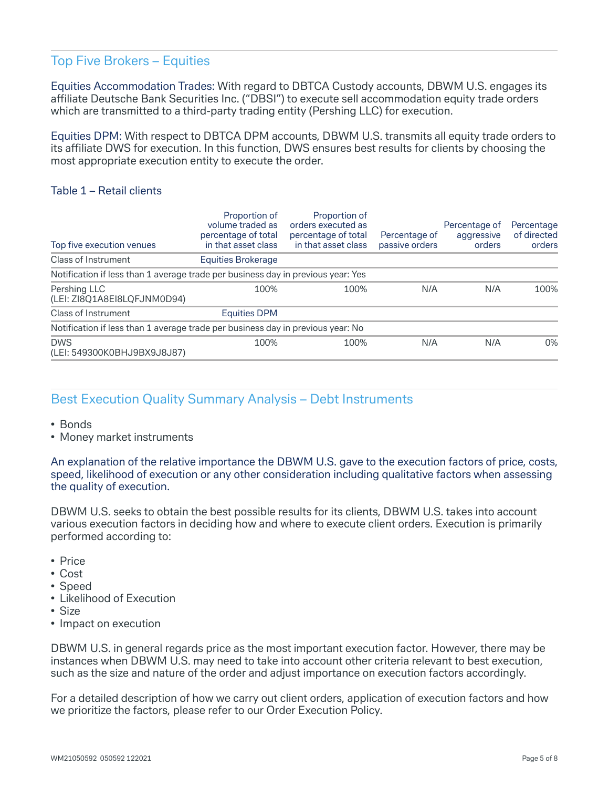## Top Five Brokers – Equities

Equities Accommodation Trades: With regard to DBTCA Custody accounts, DBWM U.S. engages its affiliate Deutsche Bank Securities Inc. ("DBSI") to execute sell accommodation equity trade orders which are transmitted to a third-party trading entity (Pershing LLC) for execution.

Equities DPM: With respect to DBTCA DPM accounts, DBWM U.S. transmits all equity trade orders to its affiliate DWS for execution. In this function, DWS ensures best results for clients by choosing the most appropriate execution entity to execute the order.

#### Table 1 – Retail clients

| Top five execution venues                                                        | Proportion of<br>volume traded as<br>percentage of total<br>in that asset class | Proportion of<br>orders executed as<br>percentage of total<br>in that asset class | Percentage of<br>passive orders | Percentage of<br>aggressive<br>orders | Percentage<br>of directed<br>orders |
|----------------------------------------------------------------------------------|---------------------------------------------------------------------------------|-----------------------------------------------------------------------------------|---------------------------------|---------------------------------------|-------------------------------------|
| Class of Instrument                                                              | Equities Brokerage                                                              |                                                                                   |                                 |                                       |                                     |
| Notification if less than 1 average trade per business day in previous year: Yes |                                                                                 |                                                                                   |                                 |                                       |                                     |
| Pershing LLC<br>(LEI: ZI8Q1A8EI8LQFJNM0D94)                                      | 100%                                                                            | 100%                                                                              | N/A                             | N/A                                   | 100%                                |
| Class of Instrument                                                              | <b>Equities DPM</b>                                                             |                                                                                   |                                 |                                       |                                     |
| Notification if less than 1 average trade per business day in previous year: No  |                                                                                 |                                                                                   |                                 |                                       |                                     |
| <b>DWS</b><br>(LEI: 549300K0BHJ9BX9J8J87)                                        | 100%                                                                            | 100%                                                                              | N/A                             | N/A                                   | $0\%$                               |

## Best Execution Quality Summary Analysis – Debt Instruments

- Bonds
- Money market instruments

An explanation of the relative importance the DBWM U.S. gave to the execution factors of price, costs, speed, likelihood of execution or any other consideration including qualitative factors when assessing the quality of execution.

DBWM U.S. seeks to obtain the best possible results for its clients, DBWM U.S. takes into account various execution factors in deciding how and where to execute client orders. Execution is primarily performed according to:

- Price
- Cost
- Speed
- Likelihood of Execution
- Size
- Impact on execution

DBWM U.S. in general regards price as the most important execution factor. However, there may be instances when DBWM U.S. may need to take into account other criteria relevant to best execution, such as the size and nature of the order and adjust importance on execution factors accordingly.

For a detailed description of how we carry out client orders, application of execution factors and how we prioritize the factors, please refer to our Order Execution Policy.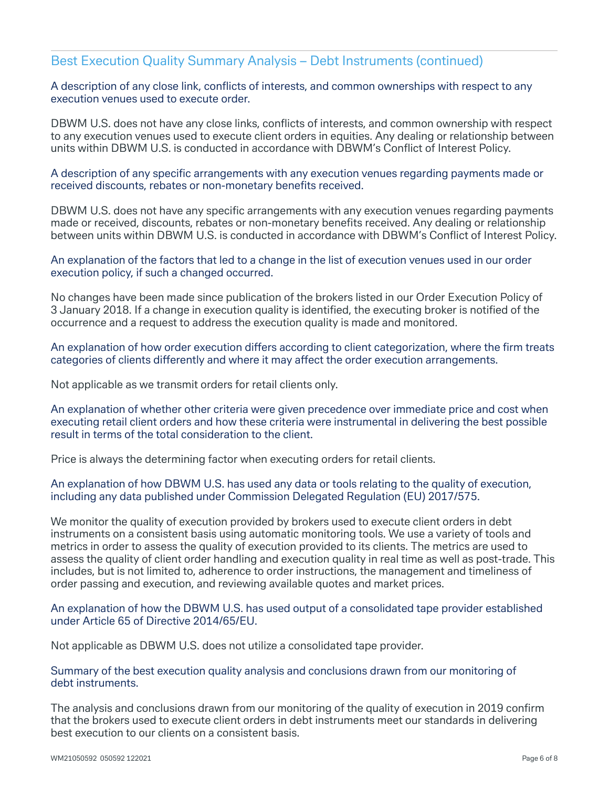### Best Execution Quality Summary Analysis – Debt Instruments (continued)

A description of any close link, conflicts of interests, and common ownerships with respect to any execution venues used to execute order.

DBWM U.S. does not have any close links, conflicts of interests, and common ownership with respect to any execution venues used to execute client orders in equities. Any dealing or relationship between units within DBWM U.S. is conducted in accordance with DBWM's Conflict of Interest Policy.

A description of any specific arrangements with any execution venues regarding payments made or received discounts, rebates or non-monetary benefits received.

DBWM U.S. does not have any specific arrangements with any execution venues regarding payments made or received, discounts, rebates or non-monetary benefits received. Any dealing or relationship between units within DBWM U.S. is conducted in accordance with DBWM's Conflict of Interest Policy.

An explanation of the factors that led to a change in the list of execution venues used in our order execution policy, if such a changed occurred.

No changes have been made since publication of the brokers listed in our Order Execution Policy of 3 January 2018. If a change in execution quality is identified, the executing broker is notified of the occurrence and a request to address the execution quality is made and monitored.

An explanation of how order execution differs according to client categorization, where the firm treats categories of clients differently and where it may affect the order execution arrangements.

Not applicable as we transmit orders for retail clients only.

An explanation of whether other criteria were given precedence over immediate price and cost when executing retail client orders and how these criteria were instrumental in delivering the best possible result in terms of the total consideration to the client.

Price is always the determining factor when executing orders for retail clients.

An explanation of how DBWM U.S. has used any data or tools relating to the quality of execution, including any data published under Commission Delegated Regulation (EU) 2017/575.

We monitor the quality of execution provided by brokers used to execute client orders in debt instruments on a consistent basis using automatic monitoring tools. We use a variety of tools and metrics in order to assess the quality of execution provided to its clients. The metrics are used to assess the quality of client order handling and execution quality in real time as well as post-trade. This includes, but is not limited to, adherence to order instructions, the management and timeliness of order passing and execution, and reviewing available quotes and market prices.

An explanation of how the DBWM U.S. has used output of a consolidated tape provider established under Article 65 of Directive 2014/65/EU.

Not applicable as DBWM U.S. does not utilize a consolidated tape provider.

Summary of the best execution quality analysis and conclusions drawn from our monitoring of debt instruments.

The analysis and conclusions drawn from our monitoring of the quality of execution in 2019 confirm that the brokers used to execute client orders in debt instruments meet our standards in delivering best execution to our clients on a consistent basis.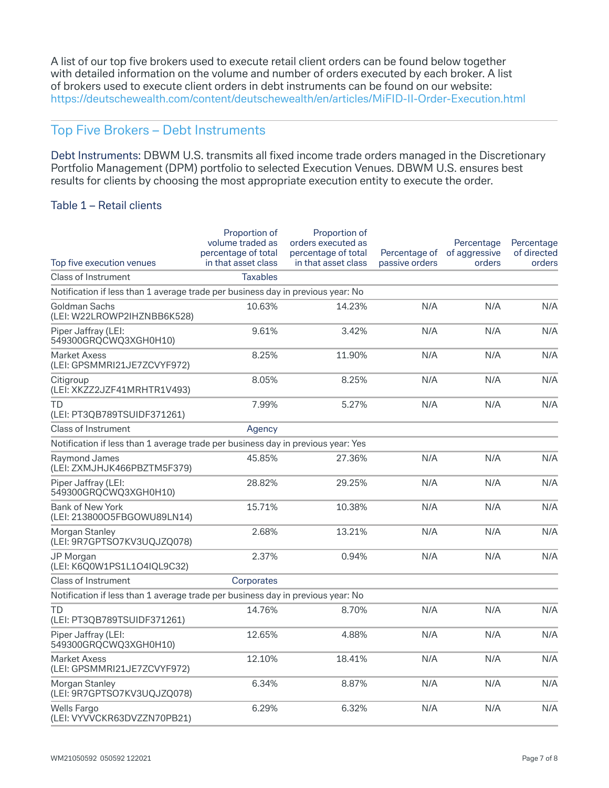A list of our top five brokers used to execute retail client orders can be found below together with detailed information on the volume and number of orders executed by each broker. A list of brokers used to execute client orders in debt instruments can be found on our website: https://deutschewealth.com/content/deutschewealth/en/articles/MiFID-II-Order-Execution.html

## Top Five Brokers – Debt Instruments

Debt Instruments: DBWM U.S. transmits all fixed income trade orders managed in the Discretionary Portfolio Management (DPM) portfolio to selected Execution Venues. DBWM U.S. ensures best results for clients by choosing the most appropriate execution entity to execute the order.

#### Table 1 – Retail clients

|                                                                                  | Proportion of<br>volume traded as<br>percentage of total | Proportion of<br>orders executed as<br>percentage of total | Percentage of  | Percentage<br>of aggressive | Percentage<br>of directed |
|----------------------------------------------------------------------------------|----------------------------------------------------------|------------------------------------------------------------|----------------|-----------------------------|---------------------------|
| Top five execution venues                                                        | in that asset class                                      | in that asset class                                        | passive orders | orders                      | orders                    |
| Class of Instrument                                                              | <b>Taxables</b>                                          |                                                            |                |                             |                           |
| Notification if less than 1 average trade per business day in previous year: No  |                                                          |                                                            |                |                             |                           |
| Goldman Sachs<br>(LEI: W22LROWP2IHZNBB6K528)                                     | 10.63%                                                   | 14.23%                                                     | N/A            | N/A                         | N/A                       |
| Piper Jaffray (LEI:<br>549300GRQCWQ3XGH0H10)                                     | 9.61%                                                    | 3.42%                                                      | N/A            | N/A                         | N/A                       |
| <b>Market Axess</b><br>(LEI: GPSMMRI21JE7ZCVYF972)                               | 8.25%                                                    | 11.90%                                                     | N/A            | N/A                         | N/A                       |
| Citigroup<br>(LEI: XKZZ2JZF41MRHTR1V493)                                         | 8.05%                                                    | 8.25%                                                      | N/A            | N/A                         | N/A                       |
| TD<br>(LEI: PT3QB789TSUIDF371261)                                                | 7.99%                                                    | 5.27%                                                      | N/A            | N/A                         | N/A                       |
| <b>Class of Instrument</b>                                                       | Agency                                                   |                                                            |                |                             |                           |
| Notification if less than 1 average trade per business day in previous year: Yes |                                                          |                                                            |                |                             |                           |
| Raymond James<br>(LEI: ZXMJHJK466PBZTM5F379)                                     | 45.85%                                                   | 27.36%                                                     | N/A            | N/A                         | N/A                       |
| Piper Jaffray (LEI:<br>549300GRQCWQ3XGH0H10)                                     | 28.82%                                                   | 29.25%                                                     | N/A            | N/A                         | N/A                       |
| Bank of New York<br>(LEI: 213800O5FBGOWU89LN14)                                  | 15.71%                                                   | 10.38%                                                     | N/A            | N/A                         | N/A                       |
| Morgan Stanley<br>(LEI: 9R7GPTSO7KV3UQJZQ078)                                    | 2.68%                                                    | 13.21%                                                     | N/A            | N/A                         | N/A                       |
| <b>JP Morgan</b><br>(LEI: K6Q0W1PS1L1O4IQL9C32)                                  | 2.37%                                                    | 0.94%                                                      | N/A            | N/A                         | N/A                       |
| <b>Class of Instrument</b>                                                       | Corporates                                               |                                                            |                |                             |                           |
| Notification if less than 1 average trade per business day in previous year: No  |                                                          |                                                            |                |                             |                           |
| TD<br>(LEI: PT3QB789TSUIDF371261)                                                | 14.76%                                                   | 8.70%                                                      | N/A            | N/A                         | N/A                       |
| Piper Jaffray (LEI:<br>549300GRQCWQ3XGH0H10)                                     | 12.65%                                                   | 4.88%                                                      | N/A            | N/A                         | N/A                       |
| <b>Market Axess</b><br>(LEI: GPSMMRI21JE7ZCVYF972)                               | 12.10%                                                   | 18.41%                                                     | N/A            | N/A                         | N/A                       |
| Morgan Stanley<br>(LEI: 9R7GPTSO7KV3UQJZQ078)                                    | 6.34%                                                    | 8.87%                                                      | N/A            | N/A                         | N/A                       |
| <b>Wells Fargo</b><br>(LEI: VYVVCKR63DVZZN70PB21)                                | 6.29%                                                    | 6.32%                                                      | N/A            | N/A                         | N/A                       |